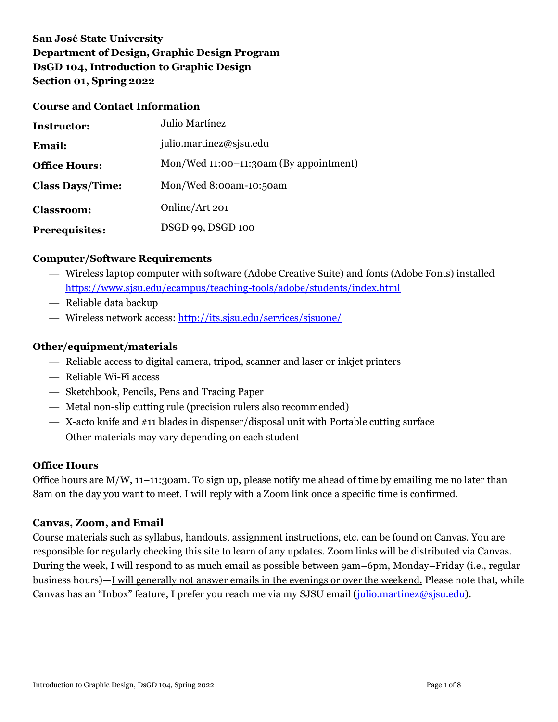# **San José State University Department of Design, Graphic Design Program DsGD 104, Introduction to Graphic Design Section 01, Spring 2022**

#### **Course and Contact Information**

| Instructor:             | Julio Martínez                         |
|-------------------------|----------------------------------------|
| <b>Email:</b>           | julio.martinez@sjsu.edu                |
| <b>Office Hours:</b>    | Mon/Wed 11:00-11:30am (By appointment) |
| <b>Class Days/Time:</b> | Mon/Wed 8:00am-10:50am                 |
| <b>Classroom:</b>       | Online/Art 201                         |
| <b>Prerequisites:</b>   | DSGD 99, DSGD 100                      |

### **Computer/Software Requirements**

- Wireless laptop computer with software (Adobe Creative Suite) and fonts (Adobe Fonts) installed <https://www.sjsu.edu/ecampus/teaching-tools/adobe/students/index.html>
- Reliable data backup
- Wireless network access:<http://its.sjsu.edu/services/sjsuone/>

#### **Other/equipment/materials**

- Reliable access to digital camera, tripod, scanner and laser or inkjet printers
- Reliable Wi-Fi access
- Sketchbook, Pencils, Pens and Tracing Paper
- Metal non-slip cutting rule (precision rulers also recommended)
- X-acto knife and #11 blades in dispenser/disposal unit with Portable cutting surface
- Other materials may vary depending on each student

#### **Office Hours**

Office hours are M/W, 11–11:30am. To sign up, please notify me ahead of time by emailing me no later than 8am on the day you want to meet. I will reply with a Zoom link once a specific time is confirmed.

#### **Canvas, Zoom, and Email**

Course materials such as syllabus, handouts, assignment instructions, etc. can be found on Canvas. You are responsible for regularly checking this site to learn of any updates. Zoom links will be distributed via Canvas. During the week, I will respond to as much email as possible between 9am–6pm, Monday–Friday (i.e., regular business hours)—I will generally not answer emails in the evenings or over the weekend. Please note that, while Canvas has an "Inbox" feature, I prefer you reach me via my SJSU email [\(julio.martinez@sjsu.edu\)](mailto:julio.martinez@sjsu.edu).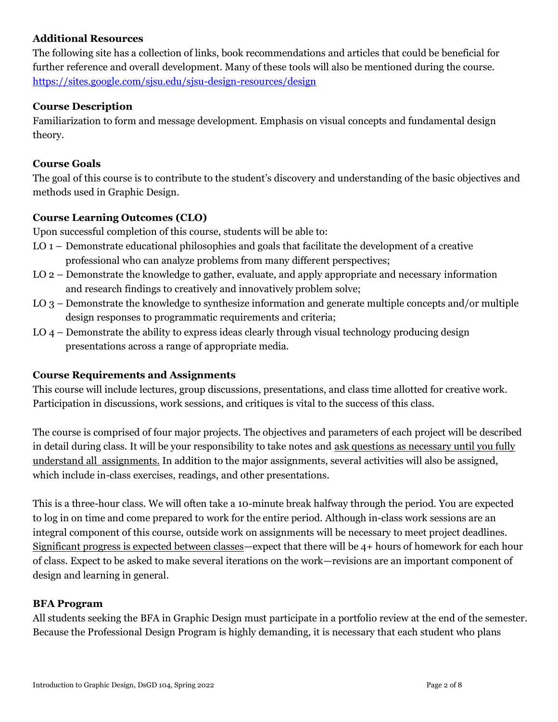### **Additional Resources**

The following site has a collection of links, book recommendations and articles that could be beneficial for further reference and overall development. Many of these tools will also be mentioned during the course. <https://sites.google.com/sjsu.edu/sjsu-design-resources/design>

#### **Course Description**

Familiarization to form and message development. Emphasis on visual concepts and fundamental design theory.

### **Course Goals**

The goal of this course is to contribute to the student's discovery and understanding of the basic objectives and methods used in Graphic Design.

### **Course Learning Outcomes (CLO)**

Upon successful completion of this course, students will be able to:

- LO 1 Demonstrate educational philosophies and goals that facilitate the development of a creative professional who can analyze problems from many different perspectives;
- LO 2 Demonstrate the knowledge to gather, evaluate, and apply appropriate and necessary information and research findings to creatively and innovatively problem solve;
- LO 3 Demonstrate the knowledge to synthesize information and generate multiple concepts and/or multiple design responses to programmatic requirements and criteria;
- LO 4 Demonstrate the ability to express ideas clearly through visual technology producing design presentations across a range of appropriate media.

## **Course Requirements and Assignments**

This course will include lectures, group discussions, presentations, and class time allotted for creative work. Participation in discussions, work sessions, and critiques is vital to the success of this class.

The course is comprised of four major projects. The objectives and parameters of each project will be described in detail during class. It will be your responsibility to take notes and ask questions as necessary until you fully understand all assignments. In addition to the major assignments, several activities will also be assigned, which include in-class exercises, readings, and other presentations.

This is a three-hour class. We will often take a 10-minute break halfway through the period. You are expected to log in on time and come prepared to work for the entire period. Although in-class work sessions are an integral component of this course, outside work on assignments will be necessary to meet project deadlines. Significant progress is expected between classes—expect that there will be 4+ hours of homework for each hour of class. Expect to be asked to make several iterations on the work—revisions are an important component of design and learning in general.

#### **BFA Program**

All students seeking the BFA in Graphic Design must participate in a portfolio review at the end of the semester. Because the Professional Design Program is highly demanding, it is necessary that each student who plans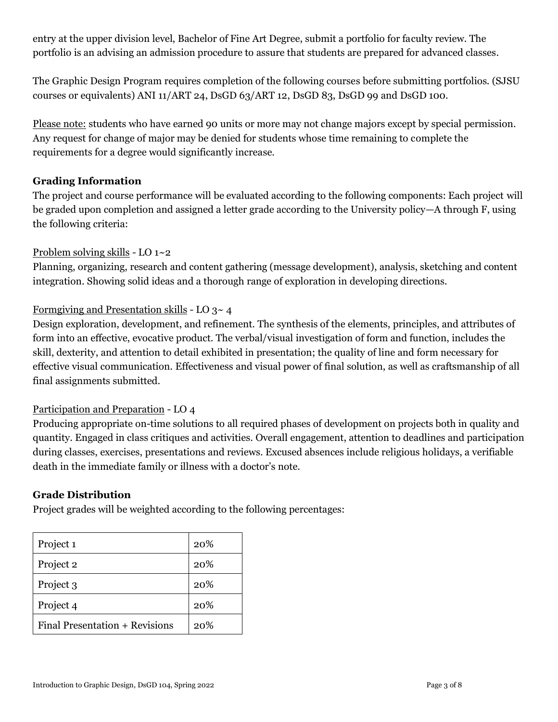entry at the upper division level, Bachelor of Fine Art Degree, submit a portfolio for faculty review. The portfolio is an advising an admission procedure to assure that students are prepared for advanced classes.

The Graphic Design Program requires completion of the following courses before submitting portfolios. (SJSU courses or equivalents) ANI 11/ART 24, DsGD 63/ART 12, DsGD 83, DsGD 99 and DsGD 100.

Please note: students who have earned 90 units or more may not change majors except by special permission. Any request for change of major may be denied for students whose time remaining to complete the requirements for a degree would significantly increase.

## **Grading Information**

The project and course performance will be evaluated according to the following components: Each project will be graded upon completion and assigned a letter grade according to the University policy—A through F, using the following criteria:

## Problem solving skills - LO 1~2

Planning, organizing, research and content gathering (message development), analysis, sketching and content integration. Showing solid ideas and a thorough range of exploration in developing directions.

## Formgiving and Presentation skills - LO 3~ 4

Design exploration, development, and refinement. The synthesis of the elements, principles, and attributes of form into an effective, evocative product. The verbal/visual investigation of form and function, includes the skill, dexterity, and attention to detail exhibited in presentation; the quality of line and form necessary for effective visual communication. Effectiveness and visual power of final solution, as well as craftsmanship of all final assignments submitted.

## Participation and Preparation - LO 4

Producing appropriate on-time solutions to all required phases of development on projects both in quality and quantity. Engaged in class critiques and activities. Overall engagement, attention to deadlines and participation during classes, exercises, presentations and reviews. Excused absences include religious holidays, a verifiable death in the immediate family or illness with a doctor's note.

## **Grade Distribution**

Project grades will be weighted according to the following percentages:

| Project <sub>1</sub>           | 20% |
|--------------------------------|-----|
| Project 2                      | 20% |
| Project 3                      | 20% |
| Project 4                      | 20% |
| Final Presentation + Revisions | 20% |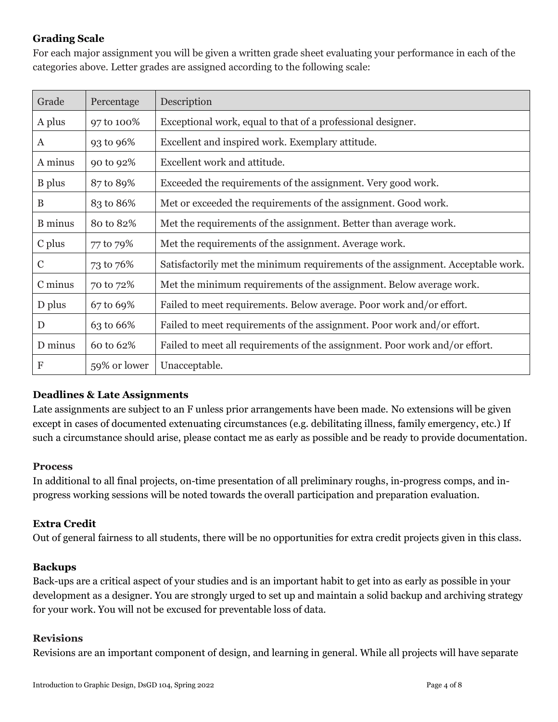## **Grading Scale**

For each major assignment you will be given a written grade sheet evaluating your performance in each of the categories above. Letter grades are assigned according to the following scale:

| Grade          | Percentage   | Description                                                                     |
|----------------|--------------|---------------------------------------------------------------------------------|
| A plus         | 97 to 100%   | Exceptional work, equal to that of a professional designer.                     |
| A              | 93 to 96%    | Excellent and inspired work. Exemplary attitude.                                |
| A minus        | 90 to 92%    | Excellent work and attitude.                                                    |
| <b>B</b> plus  | 87 to 89%    | Exceeded the requirements of the assignment. Very good work.                    |
| B              | 83 to 86%    | Met or exceeded the requirements of the assignment. Good work.                  |
| <b>B</b> minus | 80 to 82%    | Met the requirements of the assignment. Better than average work.               |
| C plus         | 77 to 79%    | Met the requirements of the assignment. Average work.                           |
| $\mathbf C$    | 73 to 76%    | Satisfactorily met the minimum requirements of the assignment. Acceptable work. |
| C minus        | 70 to 72%    | Met the minimum requirements of the assignment. Below average work.             |
| D plus         | 67 to 69%    | Failed to meet requirements. Below average. Poor work and/or effort.            |
| D              | 63 to 66%    | Failed to meet requirements of the assignment. Poor work and/or effort.         |
| D minus        | 60 to 62%    | Failed to meet all requirements of the assignment. Poor work and/or effort.     |
| F              | 59% or lower | Unacceptable.                                                                   |

## **Deadlines & Late Assignments**

Late assignments are subject to an F unless prior arrangements have been made. No extensions will be given except in cases of documented extenuating circumstances (e.g. debilitating illness, family emergency, etc.) If such a circumstance should arise, please contact me as early as possible and be ready to provide documentation.

#### **Process**

In additional to all final projects, on-time presentation of all preliminary roughs, in-progress comps, and inprogress working sessions will be noted towards the overall participation and preparation evaluation.

## **Extra Credit**

Out of general fairness to all students, there will be no opportunities for extra credit projects given in this class.

#### **Backups**

Back-ups are a critical aspect of your studies and is an important habit to get into as early as possible in your development as a designer. You are strongly urged to set up and maintain a solid backup and archiving strategy for your work. You will not be excused for preventable loss of data.

#### **Revisions**

Revisions are an important component of design, and learning in general. While all projects will have separate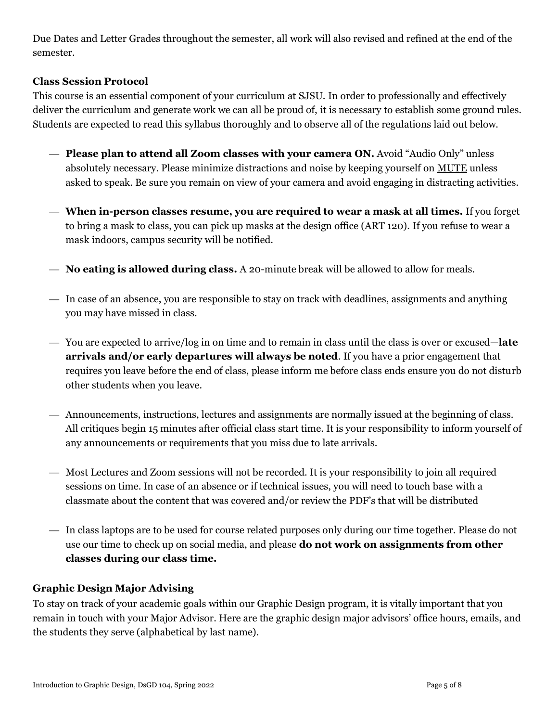Due Dates and Letter Grades throughout the semester, all work will also revised and refined at the end of the semester.

## **Class Session Protocol**

This course is an essential component of your curriculum at SJSU. In order to professionally and effectively deliver the curriculum and generate work we can all be proud of, it is necessary to establish some ground rules. Students are expected to read this syllabus thoroughly and to observe all of the regulations laid out below.

- **Please plan to attend all Zoom classes with your camera ON.** Avoid "Audio Only" unless absolutely necessary. Please minimize distractions and noise by keeping yourself on MUTE unless asked to speak. Be sure you remain on view of your camera and avoid engaging in distracting activities.
- **When in-person classes resume, you are required to wear a mask at all times.** If you forget to bring a mask to class, you can pick up masks at the design office (ART 120). If you refuse to wear a mask indoors, campus security will be notified.
- **No eating is allowed during class.** A 20-minute break will be allowed to allow for meals.
- In case of an absence, you are responsible to stay on track with deadlines, assignments and anything you may have missed in class.
- You are expected to arrive/log in on time and to remain in class until the class is over or excused—**late arrivals and/or early departures will always be noted**. If you have a prior engagement that requires you leave before the end of class, please inform me before class ends ensure you do not disturb other students when you leave.
- Announcements, instructions, lectures and assignments are normally issued at the beginning of class. All critiques begin 15 minutes after official class start time. It is your responsibility to inform yourself of any announcements or requirements that you miss due to late arrivals.
- Most Lectures and Zoom sessions will not be recorded. It is your responsibility to join all required sessions on time. In case of an absence or if technical issues, you will need to touch base with a classmate about the content that was covered and/or review the PDF's that will be distributed
- In class laptops are to be used for course related purposes only during our time together. Please do not use our time to check up on social media, and please **do not work on assignments from other classes during our class time.**

## **Graphic Design Major Advising**

To stay on track of your academic goals within our Graphic Design program, it is vitally important that you remain in touch with your Major Advisor. Here are the graphic design major advisors' office hours, emails, and the students they serve (alphabetical by last name).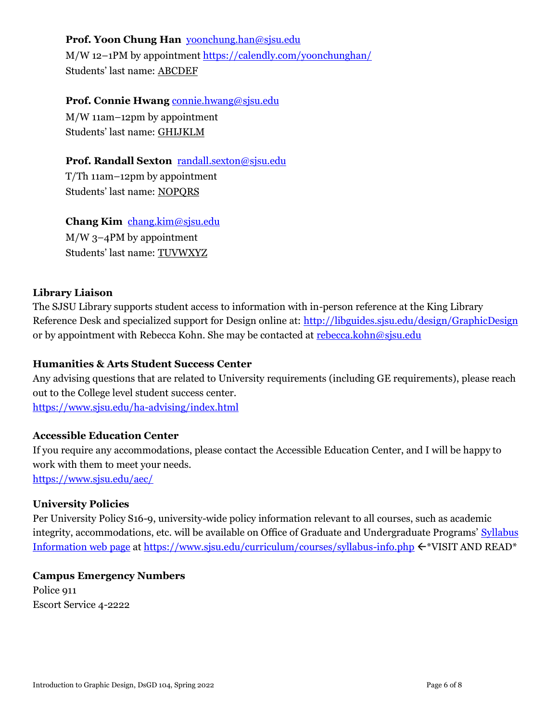**Prof. Yoon Chung Han** [yoonchung.han@sjsu.edu](mailto:yoonchung.han@sjsu.edu) M/W 12–1PM by appointmen[t https://calendly.com/yoonchunghan/](https://calendly.com/yoonchunghan/) Students' last name: ABCDEF

### **Prof. Connie Hwang** [connie.hwang@sjsu.edu](mailto:connie.hwang@sjsu.edu)

M/W 11am–12pm by appointment Students' last name: GHIJKLM

### **Prof. Randall Sexton** [randall.sexton@sjsu.edu](mailto:randall.sexton@sjsu.edu)

T/Th 11am–12pm by appointment Students' last name: NOPQRS

#### **Chang Kim** [chang.kim@sjsu.edu](mailto:chang.kim@sjsu.edu)

M/W 3–4PM by appointment Students' last name: TUVWXYZ

### **Library Liaison**

The SJSU Library supports student access to information with in-person reference at the King Library Reference Desk and specialized support for Design online at:<http://libguides.sjsu.edu/design/GraphicDesign> or by appointment with Rebecca Kohn. She may be contacted at [rebecca.kohn@sjsu.edu](mailto:rebecca.kohn@sjsu.edu)

### **Humanities & Arts Student Success Center**

Any advising questions that are related to University requirements (including GE requirements), please reach out to the College level student success center. <https://www.sjsu.edu/ha-advising/index.html>

### **Accessible Education Center**

If you require any accommodations, please contact the Accessible Education Center, and I will be happy to work with them to meet your needs. <https://www.sjsu.edu/aec/>

#### **University Policies**

Per University Policy S16-9, university-wide policy information relevant to all courses, such as academic integrity, accommodations, etc. will be available on Office of Graduate and Undergraduate Programs' [Syllabus](http://www.sjsu.edu/gup/syllabusinfo/)  [Information web page](http://www.sjsu.edu/gup/syllabusinfo/) at <https://www.sjsu.edu/curriculum/courses/syllabus-info.php>  $\leftarrow^*VISIT AND READ^*$ 

## **Campus Emergency Numbers** Police 911 Escort Service 4-2222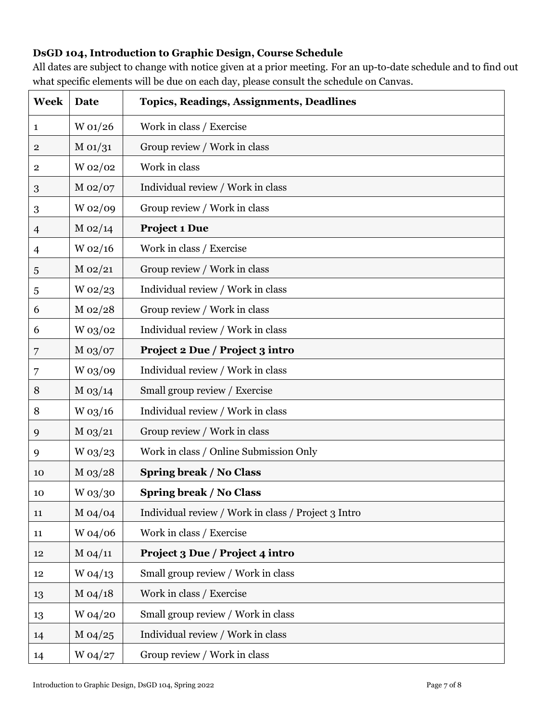# **DsGD 104, Introduction to Graphic Design, Course Schedule**

All dates are subject to change with notice given at a prior meeting. For an up-to-date schedule and to find out what specific elements will be due on each day, please consult the schedule on Canvas.

| <b>Week</b>      | Date        | <b>Topics, Readings, Assignments, Deadlines</b>     |
|------------------|-------------|-----------------------------------------------------|
| $\mathbf{1}$     | W 01/26     | Work in class / Exercise                            |
| $\mathbf{2}$     | M 01/31     | Group review / Work in class                        |
| $\mathbf 2$      | W 02/02     | Work in class                                       |
| $\boldsymbol{3}$ | $M_{02}/07$ | Individual review / Work in class                   |
| 3                | W 02/09     | Group review / Work in class                        |
| $\overline{4}$   | $M_{02/14}$ | Project 1 Due                                       |
| $\overline{4}$   | $W_02/16$   | Work in class / Exercise                            |
| 5                | $M_{02/21}$ | Group review / Work in class                        |
| 5                | $W_02/23$   | Individual review / Work in class                   |
| 6                | $M_{02/28}$ | Group review / Work in class                        |
| 6                | W 03/02     | Individual review / Work in class                   |
| 7                | $M_{03}/07$ | Project 2 Due / Project 3 intro                     |
| 7                | W 03/09     | Individual review / Work in class                   |
| 8                | $M_{03/14}$ | Small group review / Exercise                       |
| 8                | $W$ 03/16   | Individual review / Work in class                   |
| 9                | $M_{03/21}$ | Group review / Work in class                        |
| 9                | W 03/23     | Work in class / Online Submission Only              |
| 10               | $M_{03/28}$ | <b>Spring break / No Class</b>                      |
| 10               | $W$ 03/30   | <b>Spring break / No Class</b>                      |
| 11               | M 04/04     | Individual review / Work in class / Project 3 Intro |
| 11               | W 04/06     | Work in class / Exercise                            |
| 12               | M 04/11     | Project 3 Due / Project 4 intro                     |
| 12               | $W_04/13$   | Small group review / Work in class                  |
| 13               | $M_{04/18}$ | Work in class / Exercise                            |
| 13               | W 04/20     | Small group review / Work in class                  |
| 14               | $M_{04/25}$ | Individual review / Work in class                   |
| 14               | W 04/27     | Group review / Work in class                        |